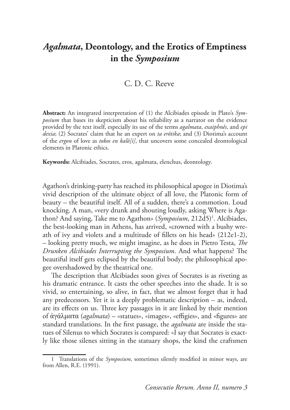# C. D. C. Reeve

**Abstract:** An integrated interpretation of (1) the Alcibiades episode in Plato's *Symposium* that bases its skepticism about his reliability as a narrator on the evidence provided by the text itself, especially its use of the terms *agalmata*, *exaiphnês*, and *epi dexia*; (2) Socrates' claim that he an expert on *ta erôtika*; and (3) Diotima's account of the *ergon* of love as *tokos en kalô[i]*, that uncovers some concealed deontological elements in Platonic ethics.

**Keywords:** Alcibiades, Socrates, eros, agalmata, elenchus, deontology.

Agathon's drinking-party has reached its philosophical apogee in Diotima's vivid description of the ultimate object of all love, the Platonic form of beauty – the beautiful itself. All of a sudden, there's a commotion. Loud knocking. A man, «very drunk and shouting loudly, asking Where is Agathon? And saying, Take me to Agathon» (Symposium, 212d5)<sup>1</sup>. Alcibiades, the best-looking man in Athens, has arrived, «crowned with a bushy wreath of ivy and violets and a multitude of fillets on his head» (212e1-2), – looking pretty much, we might imagine, as he does in Pietro Testa, *he Drunken Alcibiades Interrupting the Symposium*. And what happens? The beautiful itself gets eclipsed by the beautiful body; the philosophical apogee overshadowed by the theatrical one.

he description that Alcibiades soon gives of Socrates is as riveting as his dramatic entrance. It casts the other speeches into the shade. It is so vivid, so entertaining, so alive, in fact, that we almost forget that it had any predecessors. Yet it is a deeply problematic description – as, indeed, are its effects on us. Three key passages in it are linked by their mention of ἀγάλματα (*agalmata*) – «statues», «images», «effigies», and «figures» are standard translations. In the first passage, the *agalmata* are inside the statues of Silenus to which Socrates is compared: «I say that Socrates is exactly like those silenes sitting in the statuary shops, the kind the craftsmen

<sup>1</sup> Translations of the *Symposium*, sometimes silently modified in minor ways, are from Allen, R.E. (1991).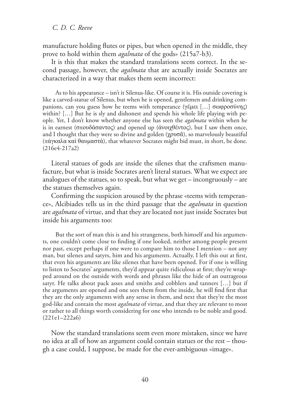manufacture holding flutes or pipes, but when opened in the middle, they prove to hold within them *agalmata* of the gods» (215a7-b3).

It is this that makes the standard translations seem correct. In the second passage, however, the *agalmata* that are actually inside Socrates are characterized in a way that makes them seem incorrect:

As to his appearance – isn't it Silenus-like. Of course it is. His outside covering is like a carved-statue of Silenus, but when he is opened, gentlemen and drinking companions, can you guess how he teems with temperance (γέμει [...] σωφροσύνης) within? […] But he is sly and dishonest and spends his whole life playing with people. Yet, I don't know whether anyone else has seen the *agalmata* within when he is in earnest (σπουδάσαντος) and opened up (άνοιχθέντος), but I saw them once, and I thought that they were so divine and golden  $(\gamma \rho \nu \sigma \tilde{\alpha})$ , so marvelously beautiful (πάγκαλα καὶ θαυμαστά), that whatever Socrates might bid must, in short, be done. (216e4-217a2)

Literal statues of gods are inside the silenes that the craftsmen manufacture, but what is inside Socrates aren't literal statues. What we expect are analogues of the statues, so to speak, but what we get – incongruously – are the statues themselves again.

Confirming the suspicion aroused by the phrase «teems with temperance», Alcibiades tells us in the third passage that the *agalmata* in question are *agalmata* of virtue, and that they are located not just inside Socrates but inside his arguments too:

But the sort of man this is and his strangeness, both himself and his arguments, one couldn't come close to finding if one looked, neither among people present nor past, except perhaps if one were to compare him to those I mention – not any man, but silenes and satyrs, him and his arguments. Actually, I left this out at first, that even his arguments are like silenes that have been opened. For if one is willing to listen to Socrates' arguments, they'd appear quite ridiculous at first; they're wrapped around on the outside with words and phrases like the hide of an outrageous satyr. He talks about pack asses and smiths and cobblers and tanners […] but if the arguments are opened and one sees them from the inside, he will find first that they are the only arguments with any sense in them, and next that they're the most god-like and contain the most *agalmata* of virtue, and that they are relevant to most or rather to all things worth considering for one who intends to be noble and good. (221e1–222a6)

Now the standard translations seem even more mistaken, since we have no idea at all of how an argument could contain statues or the rest – though a case could, I suppose, be made for the ever-ambiguous «image».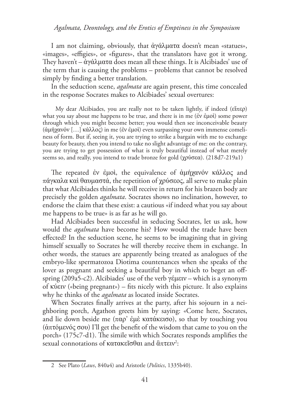I am not claiming, obviously, that  $\dot{\alpha}$ γάλματα doesn't mean «statues», «images», «effigies», or «figures», that the translators have got it wrong. They haven't –  $\dot{\alpha}$ γάλματα does mean all these things. It is Alcibiades' use of the term that is causing the problems – problems that cannot be resolved simply by finding a better translation.

In the seduction scene, *agalmata* are again present, this time concealed in the response Socrates makes to Alcibiades' sexual overtures:

My dear Alcibiades, you are really not to be taken lightly, if indeed (εἶπερ) what you say about me happens to be true, and there is in me ( $\acute{\text{e}}v \acute{\text{e}}\mu$ ot) some power through which you might become better; you would then see inconceivable beauty (ἀμήχανόν [...] κάλλος) in me (ἐν ἐμοὶ) even surpassing your own immense comeliness of form. But if, seeing it, you are trying to strike a bargain with me to exchange beauty for beauty, then you intend to take no slight advantage of me: on the contrary, you are trying to get possession of what is truly beautiful instead of what merely seems so, and really, you intend to trade bronze for gold ( $\gamma \rho \sigma \epsilon \alpha$ ). (218d7-219a1)

The repeated έν έμοι, the equivalence of αμήγανόν κάλλος and  $\pi\acute{\alpha}$ γκαλα καὶ θαυμαστά, the repetition of χρύσεος, all serve to make plain that what Alcibiades thinks he will receive in return for his brazen body are precisely the golden *agalmata*. Socrates shows no inclination, however, to endorse the claim that these exist: a cautious «if indeed what you say about me happens to be true» is as far as he will go.

Had Alcibiades been successful in seducing Socrates, let us ask, how would the *agalmata* have become his? How would the trade have been efected? In the seduction scene, he seems to be imagining that in giving himself sexually to Socrates he will thereby receive them in exchange. In other words, the statues are apparently being treated as analogues of the embryo-like spermatozoa Diotima countenances when she speaks of the lover as pregnant and seeking a beautiful boy in which to beget an offspring (209a5-c2). Alcibiades' use of the verb  $\gamma \epsilon \mu \epsilon \nu -$  which is a synonym of  $\kappa$ ú $\epsilon$ <sup>IV</sup> («being pregnant») – fits nicely with this picture. It also explains why he thinks of the *agalmata* as located inside Socrates.

When Socrates finally arrives at the party, after his sojourn in a neighboring porch, Agathon greets him by saying: «Come here, Socrates, and lie down beside me (παρ' έμὲ κατάκεισο), so that by touching you  $(δπτόμενός σου)$  I'll get the benefit of the wisdom that came to you on the porch»  $(175c7-d1)$ . The simile with which Socrates responds amplifies the sexual connotations of κατακεῖσθαι and ἃπτειν<sup>2</sup>:

<sup>2</sup> See Plato (*Laws*, 840a4) and Aristotle (*Politics*, 1335b40).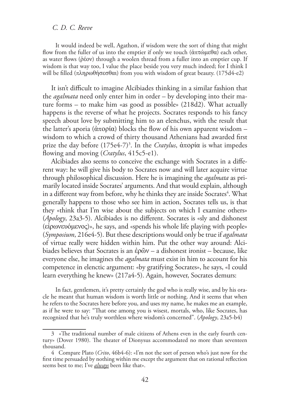It would indeed be well, Agathon, if wisdom were the sort of thing that might flow from the fuller of us into the emptier if only we touch ( $\dot{\alpha} \pi \tau \omega \mu \epsilon \theta \alpha$ ) each other, as water flows ( $ρ$ έον) through a woolen thread from a fuller into an emptier cup. If wisdom is that way too, I value the place beside you very much indeed; for I think I will be filled (πληρωθήσεσθαι) from you with wisdom of great beauty. (175d4-e2)

It isn't difficult to imagine Alcibiades thinking in a similar fashion that the *agalmata* need only enter him in order – by developing into their mature forms – to make him «as good as possible» (218d2). What actually happens is the reverse of what he projects. Socrates responds to his fancy speech about love by submitting him to an elenchus, with the result that the latter's aporia ( $\dot{\alpha}$ πορία) blocks the flow of his own apparent wisdom – wisdom to which a crowd of thirty thousand Athenians had awarded first prize the day before (175e4-7)<sup>3</sup>. In the *Cratylus*, απορία is what impedes lowing and moving (*Cratylus*, 415c5-e1).

Alcibiades also seems to conceive the exchange with Socrates in a diferent way: he will give his body to Socrates now and will later acquire virtue through philosophical discussion. Here he is imagining the *agalmata* as primarily located inside Socrates' arguments. And that would explain, although in a different way from before, why he thinks they are inside Socrates<sup>4</sup>. What generally happens to those who see him in action, Socrates tells us, is that they «think that I'm wise about the subjects on which I examine others» (*Apology*, 23a3-5). Alcibiades is no diferent. Socrates is «sly and dishonest  $(\epsilon\dot{\rho}\omega\nu\epsilon\dot{\omega}\omega\epsilon)$ », he says, and «spends his whole life playing with people» (*Symposium*, 216e4-5). But these descriptions would only be true if *agalmata* of virtue really were hidden within him. Put the other way around: Alcibiades believes that Socrates is an  $\dot{\epsilon}$ ρῶν – a dishonest ironist – because, like everyone else, he imagines the *agalmata* must exist in him to account for his competence in elenctic argument: «by gratifying Socrates», he says, «I could learn everything he knew» (217a4-5). Again, however, Socrates demurs:

In fact, gentlemen, it's pretty certainly the god who is really wise, and by his oracle he meant that human wisdom is worth little or nothing. And it seems that when he refers to the Socrates here before you, and uses my name, he makes me an example, as if he were to say: "hat one among you is wisest, mortals, who, like Socrates, has recognized that he's truly worthless where wisdom's concerned". (*Apology*, 23a5-b4)

<sup>3 «</sup>he traditional number of male citizens of Athens even in the early fourth century» (Dover 1980). The theater of Dionysus accommodated no more than seventeen thousand.

<sup>4</sup> Compare Plato (*Crito*, 46b4-6): «I'm not the sort of person who's just now for the first time persuaded by nothing within me except the argument that on rational reflection seems best to me; I've *always* been like that».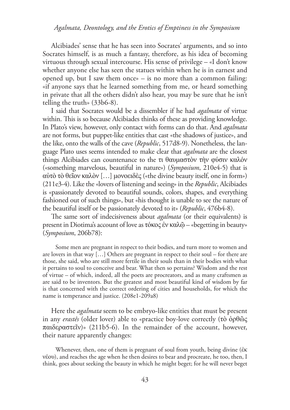Alcibiades' sense that he has seen into Socrates' arguments, and so into Socrates himself, is as much a fantasy, therefore, as his idea of becoming virtuous through sexual intercourse. His sense of privilege – «I don't know whether anyone else has seen the statues within when he is in earnest and opened up, but I saw them once» – is no more than a common failing: «if anyone says that he learned something from me, or heard something in private that all the others didn't also hear, you may be sure that he isn't telling the truth» (33b6-8).

I said that Socrates would be a dissembler if he had *agalmata* of virtue within. This is so because Alcibiades thinks of these as providing knowledge. In Plato's view, however, only contact with forms can do that. And *agalmata* are not forms, but puppet-like entities that cast «the shadows of justice», and the like, onto the walls of the cave (*Republic*, 517d8-9). Nonetheless, the language Plato uses seems intended to make clear that *agalmata* are the closest things Alcibiades can countenance to the τι θαυμαστόν την φύσιν καλόν («something marvelous, beautiful in nature») (*Symposium*, 210e4-5) that is αὐτὸ τὸ θεῖον καλὸν [...] μονοειδὲς («the divine beauty itself, one in form») (211e3-4). Like the «lovers of listening and seeing» in the *Republic*, Alcibiades is «passionately devoted to beautiful sounds, colors, shapes, and everything fashioned out of such things», but «his thought is unable to see the nature of the beautiful itself or be passionately devoted to it» (*Republic*, 476b4-8).

he same sort of indecisiveness about *agalmata* (or their equivalents) is present in Diotima's account of love as τόκος έν καλ $\tilde{\omega}$  – «begetting in beauty» (*Symposium*, 206b78):

Some men are pregnant in respect to their bodies, and turn more to women and are lovers in that way […] Others are pregnant in respect to their soul – for there are those, she said, who are still more fertile in their souls than in their bodies with what it pertains to soul to conceive and bear. What then so pertains? Wisdom and the rest of virtue – of which, indeed, all the poets are procreators, and as many craftsmen as are said to be inventors. But the greatest and most beautiful kind of wisdom by far is that concerned with the correct ordering of cities and households, for which the name is temperance and justice. (208e1-209a8)

Here the *agalmata* seem to be embryo-like entities that must be present in any *erastês* (older lover) able to «practice boy-love correctly (τὸ ὀρθῶς  $παιδεραστεΐν)$ » (211b5-6). In the remainder of the account, however, their nature apparently changes:

Whenever, then, one of them is pregnant of soul from youth, being divine ( $\dot{\epsilon}$ K) ȞȑȠυ), and reaches the age when he then desires to bear and procreate, he too, then, I think, goes about seeking the beauty in which he might beget; for he will never beget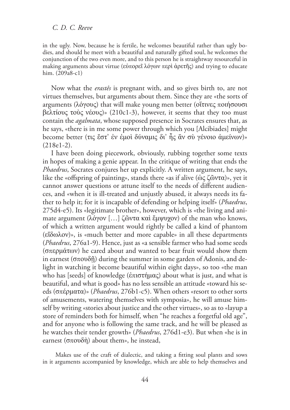in the ugly. Now, because he is fertile, he welcomes beautiful rather than ugly bodies, and should he meet with a beautiful and naturally gifted soul, he welcomes the conjunction of the two even more, and to this person he is straightway resourceful in making arguments about virtue (εὐπορεῖ λόγων περὶ ἀρετῆς) and trying to educate him. (209a8-c1)

Now what the *erastês* is pregnant with, and so gives birth to, are not virtues themselves, but arguments about them. Since they are «the sorts of arguments (λόγους) that will make young men better (οἶτινες ποιήσουσι βελτίους τοὺς νέους)» (210c1-3), however, it seems that they too must contain the *agalmata*, whose supposed presence in Socrates ensures that, as he says, «there is in me some power through which you [Alcibiades] might become better (τις έστ' έν έμοι δύναμις δι' ής ἂν συ γένοιο ἀμείνων)» (218e1-2).

I have been doing piecework, obviously, rubbing together some texts in hopes of making a genie appear. In the critique of writing that ends the *Phaedrus*, Socrates conjures her up explicitly. A written argument, he says, like the «offspring of painting», stands there «as if alive ( $\ddot{\omega} \zeta \zeta \ddot{\omega} \nu \tau \alpha$ )», yet it cannot answer questions or attune itself to the needs of diferent audiences, and «when it is ill-treated and unjustly abused, it always needs its father to help it; for it is incapable of defending or helping itself» (*Phaedrus*, 275d4-e5). Its «legitimate brother», however, which is «the living and animate argument (λόγον [...] ζῶντα καὶ ἔμψυχον) of the man who knows, of which a written argument would rightly be called a kind of phantom  $(\tilde{\epsilon} \tilde{\delta} \omega \lambda \tilde{\delta} \omega)$ », is «much better and more capable» in all these departments (*Phaedrus*, 276a1-9). Hence, just as «a sensible farmer who had some seeds ( $\sigma \pi \epsilon \rho \mu \dot{\alpha} \tau \omega$ ) he cared about and wanted to bear fruit would show them in earnest ( $\sigma \pi \omega \delta \tilde{\eta}$ ) during the summer in some garden of Adonis, and delight in watching it become beautiful within eight days», so too «the man who has [seeds] of knowledge ( $\epsilon \pi i \sigma \tau \eta \mu \alpha \zeta$ ) about what is just, and what is beautiful, and what is good» has no less sensible an attitude «toward his seeds (σπέρματα)» (*Phaedrus*, 276b1-c5). When others «resort to other sorts of amusements, watering themselves with symposia», he will amuse himself by writing «stories about justice and the other virtues», so as to «layup a store of reminders both for himself, when "he reaches a forgetful old age", and for anyone who is following the same track, and he will be pleased as he watches their tender growth» (*Phaedrus*, 276d1-e3). But when «he is in earnest ( $\sigma$ πουδή) about them», he instead,

Makes use of the craft of dialectic, and taking a fitting soul plants and sows in it arguments accompanied by knowledge, which are able to help themselves and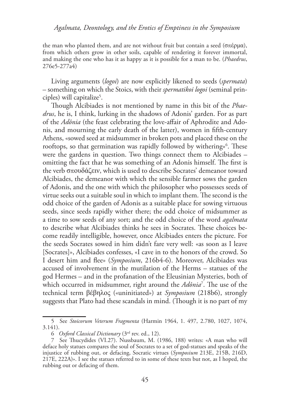the man who planted them, and are not without fruit but contain a seed ( $\sigma \pi \epsilon \rho \mu \alpha$ ), from which others grow in other soils, capable of rendering it forever immortal, and making the one who has it as happy as it is possible for a man to be. (*Phaedrus*, 276e5-277a4)

Living arguments (*logoi*) are now explicitly likened to seeds (*spermata*) – something on which the Stoics, with their *spermatikoi logoi* (seminal principles) will capitalize<sup>5</sup> .

hough Alcibiades is not mentioned by name in this bit of the *Phaedrus*, he is, I think, lurking in the shadows of Adonis' garden. For as part of the *Adônia* (the feast celebrating the love-afair of Aphrodite and Adonis, and mourning the early death of the latter), women in fifth-century Athens, «sowed seed at midsummer in broken pots and placed these on the rooftops, so that germination was rapidly followed by withering»<sup>6</sup>. These were the gardens in question. Two things connect them to Alcibiades – omitting the fact that he was something of an Adonis himself. The first is the verb σπουδάζειν, which is used to describe Socrates' demeanor toward Alcibiades, the demeanor with which the sensible farmer sows the garden of Adonis, and the one with which the philosopher who possesses seeds of virtue seeks out a suitable soul in which to implant them. The second is the odd choice of the garden of Adonis as a suitable place for sowing virtuous seeds, since seeds rapidly wither there; the odd choice of midsummer as a time to sow seeds of any sort; and the odd choice of the word *agalmata* to describe what Alcibiades thinks he sees in Socrates. These choices become readily intelligible, however, once Alcibiades enters the picture. For the seeds Socrates sowed in him didn't fare very well: «as soon as I leave [Socrates]», Alcibiades confesses, «I cave in to the honors of the crowd. So I desert him and flee» (*Symposium*, 216b4-6). Moreover, Alcibiades was accused of involvement in the mutilation of the Herms – statues of the god Hermes – and in the profanation of the Eleusinian Mysteries, both of which occurred in midsummer, right around the *Adônia*<sup>7</sup>. The use of the technical term βέβηλος («uninitiated») at *Symposium* (218b6), strongly suggests that Plato had these scandals in mind. (Though it is no part of my

<sup>5</sup> See *Stoicorum Veterum Fragmenta* (Harmin 1964, 1. 497, 2.780, 1027, 1074, 3.141).

<sup>6</sup> *Oxford Classical Dictionary* (3ed rev. ed., 12).

<sup>7</sup> See hucydides (VI.27). Nussbaum, M. (1986, 188) writes: «A man who will deface holy statues compares the soul of Socrates to a set of god-statues and speaks of the injustice of rubbing out, or defacing, Socratic virtues (*Symposium* 213E, 215B, 216D, 217E, 222A)». I see the statues referred to in some of these texts but not, as I hoped, the rubbing out or defacing of them.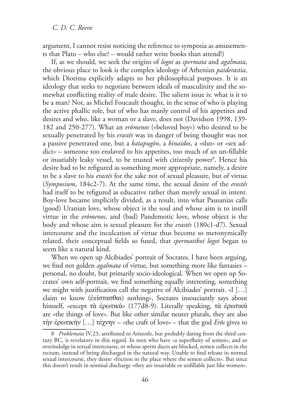argument, I cannot resist noticing the reference to symposia as amusements that Plato – who else? – would rather write books than attend!)

If, as we should, we seek the origins of *logoi* as *spermata* and *agalmata*, the obvious place to look is the complex ideology of Athenian *paiderastia*, which Diotima explicitly adapts to her philosophical purposes. It is an ideology that seeks to negotiate between ideals of masculinity and the somewhat conflicting reality of male desire. The salient issue is: what is it to be a man? Not, as Michel Foucault thought, in the sense of who is playing the active phallic role, but of who has manly control of his appetites and desires and who, like a woman or a slave, does not (Davidson 1998, 139- 182 and 250-277). What an *erômenos* («beloved boy») who desired to be sexually penetrated by his *erastês* was in danger of being thought was not a passive penetrated one, but a *katapugôn*, a *kinaidos*, a «slut» or «sex addict» – someone too enslaved to his appetites, too much of an un-fillable or insatiably leaky vessel, to be trusted with citizenly power<sup>8</sup>. Hence his desire had to be refigured as something more appropriate, namely, a desire to be a slave to his *erastês* for the sake not of sexual pleasure, but of virtue (*Symposium*, 184c2-7). At the same time, the sexual desire of the *erastês* had itself to be refigured as educative rather than merely sexual in intent. Boy-love became implicitly divided, as a result, into what Pausanias calls (good) Uranian love, whose object is the soul and whose aim is to instill virtue in the *erômenos*, and (bad) Pandemotic love, whose object is the body and whose aim is sexual pleasure for the *erastês* (180c1-d7). Sexual intercourse and the inculcation of virtue thus become so metonymically related, their conceptual fields so fused, that *spermatikoi logoi* began to seem like a natural kind.

When we open up Alcibiades' portrait of Socrates, I have been arguing, we find not golden *agalmata* of virtue, but something more like fantasies personal, no doubt, but primarily socio-ideological. When we open up Socrates' own self-portrait, we find something equally interesting, something we might with justification call the negative of Alcibiades' portrait. «I [...] claim to know (επίστασθαι) nothing», Socrates insouciantly says about himself, «except τὰ ἐρωτικά» (177d8-9). Literally speaking, τὰ ἐρωτικά are «the things of love». But like other similar neuter plurals, they are also τὴν ἐρωτικήν [...] τέχνην – «the craft of love» – that the god *Erôs* gives to

<sup>8</sup> *Problemata* IV.23, attributed to Aristotle, but probably dating from the third century BC, is revelatory in this regard. In men who have «a superluity of semen», and so overindulge in sexual intercourse, or whose sperm ducts are blocked, semen collects in the rectum, instead of being discharged in the natural way. Unable to find release in normal sexual intercourse, they desire «friction in the place where the semen collects». But since this doesn't result in seminal discharge «they are insatiable or unfillable just like women».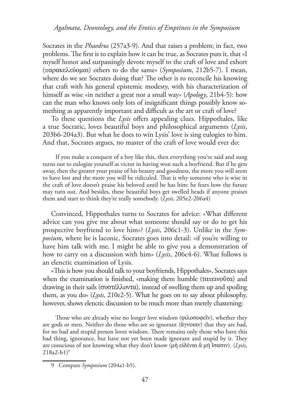Socrates in the *Phaedrus* (257a3-9). And that raises a problem; in fact, two problems. The first is to explain how it can be true, as Socrates puts it, that «I myself honor and surpassingly devote myself to the craft of love and exhort (παȡαțİȜİȪȠȝαȚ) others to do the same» (*Symposium*, 212b5-7). I mean, where do we see Socrates doing that? The other is to reconcile his knowing that craft with his general epistemic modesty, with his characterization of himself as wise «in neither a great nor a small way» (*Apology*, 21b4-5): how can the man who knows only lots of insignificant things possibly know something as apparently important and difficult as the art or craft of love?

To these questions the *Lysis* offers appealing clues. Hippothales, like a true Socratic, loves beautiful boys and philosophical arguments (*Lysis*, 203b6-204a3). But what he does to win Lysis' love is sing eulogies to him. And that, Socrates argues, no master of the craft of love would ever do:

If you make a conquest of a boy like this, then everything you've said and sung turns out to eulogize yourself as victor in having won such a boyfriend. But if he gets away, then the greater your praise of his beauty and goodness, the more you will seem to have lost and the more you will be ridiculed. That is why someone who is wise in the craft of love doesn't praise his beloved until he has him: he fears how the future may turn out. And besides, these beautiful boys get swelled heads if anyone praises them and start to think they're really somebody. (*Lysis*, 205e2-206a4)

Convinced, Hippothales turns to Socrates for advice: «What diferent advice can you give me about what someone should say or do to get his prospective boyfriend to love him»? (*Lysis*, 206c1-3). Unlike in the *Symposium*, where he is laconic, Socrates goes into detail: «if you're willing to have him talk with me, I might be able to give you a demonstration of how to carry on a discussion with him» (*Lysis*, 206c4-6). What follows is an elenctic examination of Lysis.

«his is how you should talk to your boyfriends, Hippothales», Socrates says when the examination is finished, «making them humble ( $\tau a \pi \epsilon w o \tilde{\sigma} \tau a$ ) and drawing in their sails ( $\sigma$ υστέλλοντα), instead of swelling them up and spoiling them, as you do» (*Lysis*, 210e2-5). What he goes on to say about philosophy, however, shows elenctic discussion to be much more than merely chastening:

Those who are already wise no longer love wisdom (φιλοσοφεΐν), whether they are gods or men. Neither do those who are so ignorant (άγνοιαν) that they are bad, for no bad and stupid person loves wisdom. There remains only those who have this bad thing, ignorance, but have not yet been made ignorant and stupid by it. They are conscious of not knowing what they don't know (μὴ εἰδέναι ἃ μὴ ἲσασιν). (*Lysis*,  $218a2-b1$ <sup>9</sup>

<sup>9</sup> Compare *Symposium* (204a1-b5).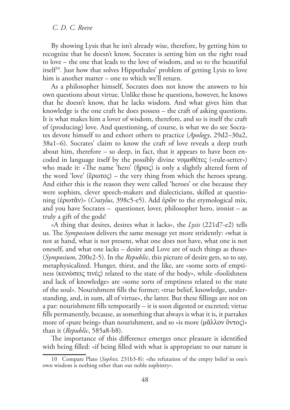By showing Lysis that he isn't already wise, therefore, by getting him to recognize that he doesn't know, Socrates is setting him on the right road to love – the one that leads to the love of wisdom, and so to the beautiful itself<sup>10</sup>. Just how that solves Hippothales' problem of getting Lysis to love him is another matter – one to which we'll return.

As a philosopher himself, Socrates does not know the answers to his own questions about virtue. Unlike those he questions, however, he knows that he doesn't know, that he lacks wisdom. And what gives him that knowledge is the one craft he does possess – the craft of asking questions. It is what makes him a lover of wisdom, therefore, and so is itself the craft of (producing) love. And questioning, of course, is what we do see Socrates devote himself to and exhort others to practice (*Apology*, 29d2–30a2, 38a1–6). Socrates' claim to know the craft of love reveals a deep truth about him, therefore – so deep, in fact, that it appears to have been encoded in language itself by the possibly divine  $v_0$  $\theta$ έτες («rule-setter») who made it: «The name 'hero' ( $\hat{\eta}$ ρως) is only a slightly altered form of the word 'love' (ξρωτος) – the very thing from which the heroes sprang. And either this is the reason they were called 'heroes' or else because they were sophists, clever speech-makers and dialecticians, skilled at questioning (ἐρωτᾶν)» (*Cratylus*, 398c5-e5). Add ἐρῶν to the etymological mix, and you have Socrates – questioner, lover, philosopher hero, ironist – as truly a gift of the gods!

«A thing that desires, desires what it lacks», the *Lysis* (221d7-e2) tells us. The *Symposium* delivers the same message yet more stridently: «what is not at hand, what is not present, what one does not have, what one is not oneself, and what one lacks – desire and Love are of such things as these» (*Symposium*, 200e2-5). In the *Republic*, this picture of desire gets, so to say, metaphysicalized. Hunger, thirst, and the like, are «some sorts of emptiness (κενώσεις τινές) related to the state of the body», while «foolishness and lack of knowledge» are «some sorts of emptiness related to the state of the soul». Nourishment fills the former; «true belief, knowledge, understanding, and, in sum, all of virtue», the latter. But these fillings are not on a par: nourishment fills temporarily  $-$  it is soon digested or excreted; virtue fills permanently, because, as something that always is what it is, it partakes more of «pure being» than nourishment, and so «is more (μᾶλλον ὂντος)» than it (*Republic*, 585a8-b8).

The importance of this difference emerges once pleasure is identified with being filled: «if being filled with what is appropriate to our nature is

<sup>10</sup> Compare Plato (*Sophist*, 231b3-8): «the refutation of the empty belief in one's own wisdom is nothing other than our noble sophistry».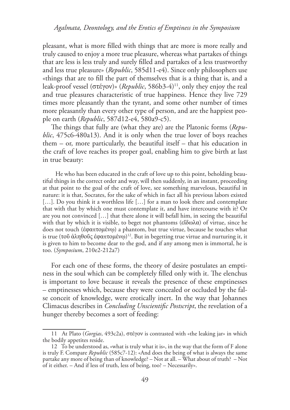pleasant, what is more filled with things that are more is more really and truly caused to enjoy a more true pleasure, whereas what partakes of things that are less is less truly and surely illed and partakes of a less trustworthy and less true pleasure» (*Republic*, 585d11-e4). Since only philosophers use «things that are to fill the part of themselves that is a thing that is, and a leak-proof vessel (στέγον)» (*Republic*, 586b3-4)<sup>11</sup>, only they enjoy the real and true pleasures characteristic of true happiness. Hence they live 729 times more pleasantly than the tyrant, and some other number of times more pleasantly than every other type of person, and are the happiest people on earth (*Republic*, 587d12-e4, 580a9-c5).

he things that fully are (what they are) are the Platonic forms (*Republic*, 475c6-480a13). And it is only when the true lover of boys reaches them – or, more particularly, the beautiful itself – that his education in the craft of love reaches its proper goal, enabling him to give birth at last in true beauty:

He who has been educated in the craft of love up to this point, beholding beautiful things in the correct order and way, will then suddenly, in an instant, proceeding at that point to the goal of the craft of love, see something marvelous, beautiful in nature: it is that, Socrates, for the sake of which in fact all his previous labors existed [...]. Do you think it a worthless life [...] for a man to look there and contemplate that with that by which one must contemplate it, and have intercourse with it? Or are you not convinced […] that there alone it will befall him, in seeing the beautiful with that by which it is visible, to beget not phantoms ( $\epsilon\tilde{\iota}\delta\omega\lambda\alpha$ ) of virtue, since he does not touch (έφαπτομένω) a phantom, but true virtue, because he touches what is true (τοῦ ἀληθοῦς ἐφαπτομένῳ)½. But in begetting true virtue and nurturing it, it is given to him to become dear to the god, and if any among men is immortal, he is too. (*Symposium*, 210e2-212a7)

For each one of these forms, the theory of desire postulates an emptiness in the soul which can be completely filled only with it. The elenchus is important to love because it reveals the presence of these emptinesses – emptinesses which, because they were concealed or occluded by the false conceit of knowledge, were erotically inert. In the way that Johannes Climacus describes in *Concluding Unscientiic Postscript*, the revelation of a hunger thereby becomes a sort of feeding:

<sup>11</sup> At Plato (*Gorgias*, 493c2a), στέγον is contrasted with «the leaking jar» in which the bodily appetites reside.

<sup>12</sup> To be understood as, «what is truly what it is», in the way that the form of F alone is truly F. Compare *Republic* (585c7-12): «And does the being of what is always the same partake any more of being than of knowledge? – Not at all. – What about of truth? – Not of it either. – And if less of truth, less of being, too? – Necessarily».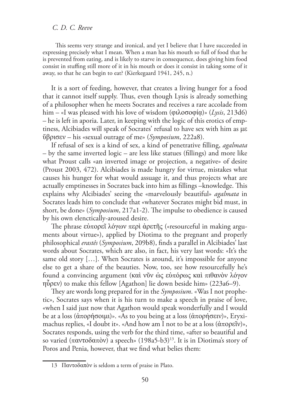his seems very strange and ironical, and yet I believe that I have succeeded in expressing precisely what I mean. When a man has his mouth so full of food that he is prevented from eating, and is likely to starve in consequence, does giving him food consist in stuing still more of it in his mouth or does it consist in taking some of it away, so that he can begin to eat? (Kierkegaard 1941, 245, n.)

It is a sort of feeding, however, that creates a living hunger for a food that it cannot itself supply. Thus, even though Lysis is already something of a philosopher when he meets Socrates and receives a rare accolade from him – «I was pleased with his love of wisdom (φιλοσοφία)» (*Lysis*, 213d6) – he is left in aporia. Later, in keeping with the logic of this erotics of emptiness, Alcibiades will speak of Socrates' refusal to have sex with him as  $\mu\epsilon$ ȕȡȚıİȞ – his «sexual outrage of me» (*Symposium*, 222a8).

If refusal of sex is a kind of sex, a kind of penetrative illing, *agalmata*  $-$  by the same inverted logic  $-$  are less like statues (fillings) and more like what Proust calls «an inverted image or projection, a negative» of desire (Proust 2003, 472). Alcibiades is made hungry for virtue, mistakes what causes his hunger for what would assuage it, and thus projects what are actually emptinesses in Socrates back into him as fillings –knowledge. This explains why Alcibiades' seeing the «marvelously beautiful» *agalmata* in Socrates leads him to conclude that «whatever Socrates might bid must, in short, be done» (*Symposium*, 217a1-2). The impulse to obedience is caused by his own elenctically-aroused desire.

The phrase εὐπορεῖ λόγων περὶ ἀρετῆς («resourceful in making arguments about virtue»), applied by Diotima to the pregnant and properly philosophical *erastês* (*Symposium*, 209b8), finds a parallel in Alcibiades' last words about Socrates, which are also, in fact, his very last words: «It's the same old story […]. When Socrates is around, it's impossible for anyone else to get a share of the beauties. Now, too, see how resourcefully he's found a convincing argument (καὶ νῦν ὡς εὐπόρως καὶ πιθανὸν λόγον  $\eta\tilde{\psi}$ ρεν) to make this fellow [Agathon] lie down beside him» (223a6–9).

hey are words long prepared for in the *Symposium*. «Was I not prophetic», Socrates says when it is his turn to make a speech in praise of love, «when I said just now that Agathon would speak wonderfully and I would be at a loss  $(\hat{\alpha} \pi \circ \rho \hat{\eta} \circ \sigma \circ \mu \hat{\mu})$ ». «As to you being at a loss  $(\hat{\alpha} \pi \circ \rho \hat{\eta} \circ \epsilon \nu)$ », Eryximachus replies, «I doubt it». «And how am I not to be at a loss  $(\hat{\alpha} \pi \circ \rho \in \tilde{\mathcal{U}})$ », Socrates responds, using the verb for the third time, «after so beautiful and so varied (παντοδαπὸν) a speech» (198a5-b3)<sup>13</sup>. It is in Diotima's story of Poros and Penia, however, that we find what belies them:

<sup>13</sup> Παντοδαπὸν is seldom a term of praise in Plato.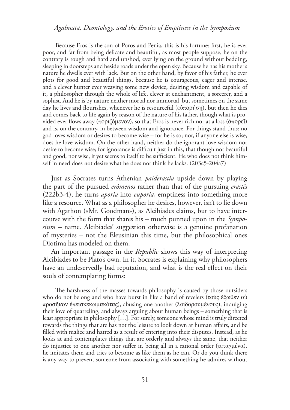Because Eros is the son of Poros and Penia, this is his fortune: first, he is ever poor, and far from being delicate and beautiful, as most people suppose, he on the contrary is rough and hard and unshod, ever lying on the ground without bedding, sleeping in doorsteps and beside roads under the open sky. Because he has his mother's nature he dwells ever with lack. But on the other hand, by favor of his father, he ever plots for good and beautiful things, because he is courageous, eager and intense, and a clever hunter ever weaving some new device, desiring wisdom and capable of it, a philosopher through the whole of life, clever at enchantment, a sorcerer, and a sophist. And he is by nature neither mortal nor immortal, but sometimes on the same day he lives and flourishes, whenever he is resourceful ( $\varepsilon \dot{\nu} \pi$ opήση), but then he dies and comes back to life again by reason of the nature of his father, though what is provided ever flows away (ποριζόμενον), so that Eros is never rich nor at a loss (άπορεΐ) and is, on the contrary, in between wisdom and ignorance. For things stand thus: no god loves wisdom or desires to become wise – for he is so; nor, if anyone else is wise, does he love wisdom. On the other hand, neither do the ignorant love wisdom nor desire to become wise; for ignorance is difficult just in this, that though not beautiful and good, nor wise, it yet seems to itself to be sufficient. He who does not think himself in need does not desire what he does not think he lacks. (203c5-204a7)

Just as Socrates turns Athenian *paiderastia* upside down by playing the part of the pursued *erômenos* rather than that of the pursuing *erastês* (222b3-4), he turns *aporia* into *euporia*, emptiness into something more like a resource. What as a philosopher he desires, however, isn't to lie down with Agathon («Mr. Goodman»), as Alcibiades claims, but to have intercourse with the form that shares his – much punned upon in the *Symposium* – name. Alcibiades' suggestion otherwise is a genuine profanation of mysteries – not the Eleusinian this time, but the philosophical ones Diotima has modeled on them.

An important passage in the *Republic* shows this way of interpreting Alcibiades to be Plato's own. In it, Socrates is explaining why philosophers have an undeservedly bad reputation, and what is the real effect on their souls of contemplating forms:

The harshness of the masses towards philosophy is caused by those outsiders who do not belong and who have burst in like a band of revelers (τοὺς ἔξωθεν οὐ προσῆκον ἐπεισκεκωμακότας), abusing one another (λοιδορουμένους), indulging their love of quarreling, and always arguing about human beings – something that is least appropriate in philosophy […]. For surely, someone whose mind is truly directed towards the things that are has not the leisure to look down at human afairs, and be filled with malice and hatred as a result of entering into their disputes. Instead, as he looks at and contemplates things that are orderly and always the same, that neither do injustice to one another nor suffer it, being all in a rational order (τεταγμένα), he imitates them and tries to become as like them as he can. Or do you think there is any way to prevent someone from associating with something he admires without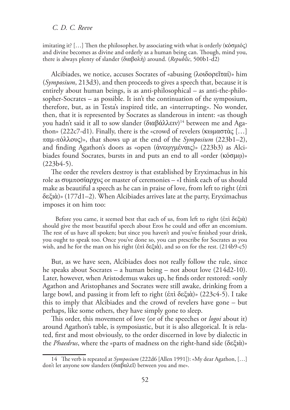imitating it?  $[...]$  Then the philosopher, by associating with what is orderly ( $\kappa$ όσμιός) and divine becomes as divine and orderly as a human being can. Though, mind you, there is always plenty of slander (διαβολή) around. (*Republic*, 500b1-d2)

Alcibiades, we notice, accuses Socrates of «abusing (λοιδορεῖταί)» him (*Symposium*, 213d3), and then proceeds to gives a speech that, because it is entirely about human beings, is as anti-philosophical – as anti-the-philosopher-Socrates – as possible. It isn't the continuation of the symposium, therefore, but, as in Testa's inspired title, an «interrupting». No wonder, then, that it is represented by Socrates as slanderous in intent: «as though you hadn't said it all to sow slander (διαβάλλειν)14 between me and Agathon» (222c7-d1). Finally, there is the «crowd of revelers (κωμαστὰς [...]  $\pi \alpha \mu$ -πόλλους)», that shows up at the end of the *Symposium* (223b1–2), and finding Agathon's doors as «open (άνεωγμέναις)» (223b3) as Alcibiades found Socrates, bursts in and puts an end to all «order ( $\kappa$ ó $\sigma \mu \omega$ )» (223b4-5).

he order the revelers destroy is that established by Eryximachus in his role as συμποσίαρχυς or master of ceremonies – «I think each of us should make as beautiful a speech as he can in praise of love, from left to right ( $\acute{\epsilon}$ πί įİȟȚ)» (177d1–2). When Alcibiades arrives late at the party, Eryximachus imposes it on him too:

Before you came, it seemed best that each of us, from left to right (έπὶ δεξιὰ) should give the most beautiful speech about Eros he could and offer an encomium. The rest of us have all spoken; but since you haven't and you've finished your drink, you ought to speak too. Once you've done so, you can prescribe for Socrates as you wish, and he for the man on his right ( $\epsilon \pi i \delta \epsilon \xi i \dot{\alpha}$ ), and so on for the rest. (214b9-c5)

But, as we have seen, Alcibiades does not really follow the rule, since he speaks about Socrates – a human being – not about love (214d2-10). Later, however, when Aristodemus wakes up, he finds order restored: «only Agathon and Aristophanes and Socrates were still awake, drinking from a large bowl, and passing it from left to right (ἐπὶ δεξιὰ)» (223c4-5). I take this to imply that Alcibiades and the crowd of revelers have gone – but perhaps, like some others, they have simply gone to sleep.

his order, this movement of love (or of the speeches or *logoi* about it) around Agathon's table, is symposiastic, but it is also allegorical. It is related, first and most obviously, to the order discerned in love by dialectic in the *Phaedrus*, where the «parts of madness on the right-hand side (δεξιὰ)»

<sup>14</sup> he verb is repeated at *Symposium* (222d6 [Allen 1991]): «My dear Agathon, […] don't let anyone sow slanders (διαβαλεῖ) between you and me».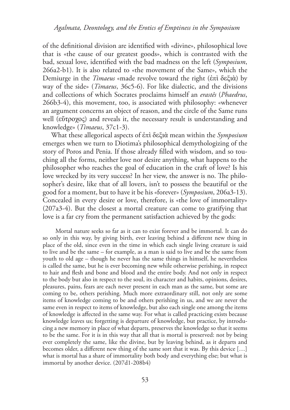of the definitional division are identified with «divine», philosophical love that is «the cause of our greatest goods», which is contrasted with the bad, sexual love, identiied with the bad madness on the left (*Symposium*, 266a2-b1). It is also related to «the movement of the Same», which the Demiurge in the *Timaeus* «made revolve toward the right (έπὶ δεξιὰ) by way of the side» (*Timaeus*, 36c5-6). For like dialectic, and the divisions and collections of which Socrates proclaims himself an *erastês* (*Phaedrus*, 266b3-4), this movement, too, is associated with philosophy: «whenever an argument concerns an object of reason, and the circle of the Same runs well (εύτροχος) and reveals it, the necessary result is understanding and knowledge» (*Timaeus*, 37c1-3).

What these allegorical aspects of  $\epsilon \pi i \delta \epsilon \xi$ ιὰ mean within the *Symposium* emerges when we turn to Diotima's philosophical demythologizing of the story of Poros and Penia. If those already filled with wisdom, and so touching all the forms, neither love nor desire anything, what happens to the philosopher who reaches the goal of education in the craft of love? Is his love wrecked by its very success? In her view, the answer is no. The philosopher's desire, like that of all lovers, isn't to possess the beautiful or the good for a moment, but to have it be his «forever» (*Symposium*, 206a3-13). Concealed in every desire or love, therefore, is «the love of immortality» (207a3-4). But the closest a mortal creature can come to gratifying that love is a far cry from the permanent satisfaction achieved by the gods:

Mortal nature seeks so far as it can to exist forever and be immortal. It can do so only in this way, by giving birth, ever leaving behind a diferent new thing in place of the old, since even in the time in which each single living creature is said to live and be the same – for example, as a man is said to live and be the same from youth to old age – though he never has the same things in himself, he nevertheless is called the same, but he is ever becoming new while otherwise perishing, in respect to hair and flesh and bone and blood and the entire body. And not only in respect to the body but also in respect to the soul, its character and habits, opinions, desires, pleasures, pains, fears are each never present in each man as the same, but some are coming to be, others perishing. Much more extraordinary still, not only are some items of knowledge coming to be and others perishing in us, and we are never the same even in respect to items of knowledge, but also each single one among the items of knowledge is afected in the same way. For what is called practicing exists because knowledge leaves us; forgetting is departure of knowledge, but practice, by introducing a new memory in place of what departs, preserves the knowledge so that it seems to be the same. For it is in this way that all that is mortal is preserved: not by being ever completely the same, like the divine, but by leaving behind, as it departs and becomes older, a diferent new thing of the same sort that it was. By this device […] what is mortal has a share of immortality both body and everything else; but what is immortal by another device. (207d1-208b4)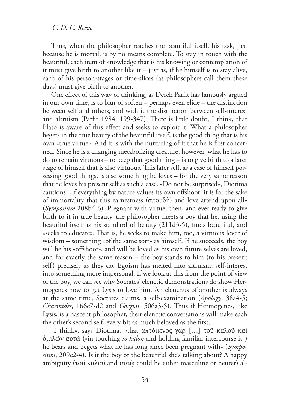hus, when the philosopher reaches the beautiful itself, his task, just because he is mortal, is by no means complete. To stay in touch with the beautiful, each item of knowledge that is his knowing or contemplation of it must give birth to another like it  $-$  just as, if he himself is to stay alive, each of his person-stages or time-slices (as philosophers call them these days) must give birth to another.

One effect of this way of thinking, as Derek Parfit has famously argued in our own time, is to blur or soften – perhaps even elide – the distinction between self and others, and with it the distinction between self-interest and altruism (Parfit 1984, 199-347). There is little doubt, I think, that Plato is aware of this effect and seeks to exploit it. What a philosopher begets in the true beauty of the beautiful itself, is the good thing that is his own «true virtue». And it is with the nurturing of it that he is first concerned. Since he is a changing metabolizing creature, however, what he has to do to remain virtuous – to keep that good thing – is to give birth to a later stage of himself that is also virtuous. This later self, as a case of himself possessing good things, is also something he loves – for the very same reason that he loves his present self as such a case. «Do not be surprised», Diotima cautions, «if everything by nature values its own offshoot; it is for the sake of immortality that this earnestness ( $\sigma$ πουδή) and love attend upon all» (*Symposium* 208b4-6). Pregnant with virtue, then, and ever ready to give birth to it in true beauty, the philosopher meets a boy that he, using the beautiful itself as his standard of beauty  $(211d3-5)$ , finds beautiful, and «seeks to educate». That is, he seeks to make him, too, a virtuous lover of wisdom – something «of the same sort» as himself. If he succeeds, the boy will be his «offshoot», and will be loved as his own future selves are loved, and for exactly the same reason – the boy stands to him (to his present self) precisely as they do. Egoism has melted into altruism; self-interest into something more impersonal. If we look at this from the point of view of the boy, we can see why Socrates' elenctic demonstrations do show Hermogenes how to get Lysis to love him. An elenchus of another is always at the same time, Socrates claims, a self-examination (*Apology*, 38a4-5; *Charmides*, 166c7-d2 and *Gorgias*, 506a3-5). Thus if Hermogenes, like Lysis, is a nascent philosopher, their elenctic conversations will make each the other's second self, every bit as much beloved as the first.

«I think», says Diotima, «that ἀπτόμενος γὰρ [...] τοῦ καλοῦ καὶ ȝȚȜȞ αIJ («in touching *to kalon* and holding familiar intercourse it») he bears and begets what he has long since been pregnant with» (*Symposium*, 209c2-4). Is it the boy or the beautiful she's talking about? A happy ambiguity ( $\tau$ οῦ καλοῦ and αὐ $\tau$ ῷ could be either masculine or neuter) al-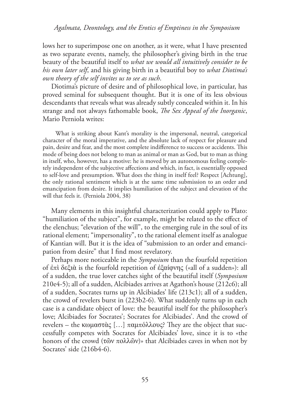lows her to superimpose one on another, as it were, what I have presented as two separate events, namely, the philosopher's giving birth in the true beauty of the beautiful itself to *what we would all intuitively consider to be his own later self*, and his giving birth in a beautiful boy to *what Diotima's own theory of the self invites us to see as such*.

Diotima's picture of desire and of philosophical love, in particular, has proved seminal for subsequent thought. But it is one of its less obvious descendants that reveals what was already subtly concealed within it. In his strange and not always fathomable book, *he Sex Appeal of the Inorganic*, Mario Perniola writes:

What is striking about Kant's morality is the impersonal, neutral, categorical character of the moral imperative, and the absolute lack of respect for pleasure and pain, desire and fear, and the most complete indiference to success or accidents. his mode of being does not belong to man as animal or man as God, but to man as thing in itself, who, however, has a motive: he is moved by an autonomous feeling completely independent of the subjective afections and which, in fact, is essentially opposed to self-love and presumption. What does the thing in itself feel? Respect [Achtung], the only rational sentiment which is at the same time submission to an order and emancipation from desire. It implies humiliation of the subject and elevation of the will that feels it. (Perniola 2004, 38)

Many elements in this insightful characterization could apply to Plato: "humiliation of the subject", for example, might be related to the efect of the elenchus; "elevation of the will", to the emerging rule in the soul of its rational element; "impersonality", to the rational element itself as analogue of Kantian will. But it is the idea of "submission to an order and emancipation from desire" that I find most revelatory.

Perhaps more noticeable in the *Symposium* than the fourfold repetition of  $\epsilon \pi i \delta \epsilon \xi i \alpha$  is the fourfold repetition of  $\epsilon \xi \alpha i \varphi \nu \eta \zeta$  («all of a sudden»): all of a sudden, the true lover catches sight of the beautiful itself (*Symposium* 210e4-5); all of a sudden, Alcibiades arrives at Agathon's house (212c6); all of a sudden, Socrates turns up in Alcibiades' life (213c1); all of a sudden, the crowd of revelers burst in (223b2-6). What suddenly turns up in each case is a candidate object of love: the beautiful itself for the philosopher's love; Alcibiades for Socrates'; Socrates for Alcibiades'. And the crowd of revelers – the κωμαστὰς [...] παμπόλλους? They are the object that successfully competes with Socrates for Alcibiades' love, since it is to «the honors of the crowd  $(\tau \tilde{\omega} v \pi \partial \lambda \tilde{\omega} v)$  that Alcibiades caves in when not by Socrates' side (216b4-6).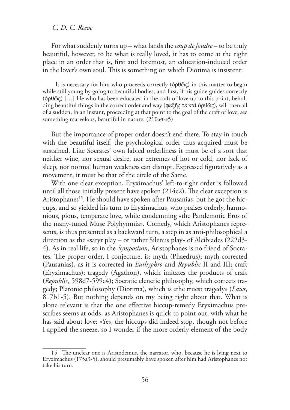For what suddenly turns up – what lands the *coup de foudre* – to be truly beautiful, however, to be what is really loved, it has to come at the right place in an order that is, first and foremost, an education-induced order in the lover's own soul. This is something on which Diotima is insistent:

It is necessary for him who proceeds correctly ( $\dot{\phi}$  $\rho \theta \tilde{\omega}$ ) in this matter to begin while still young by going to beautiful bodies; and first, if his guide guides correctly  $(\dot{\phi} \rho \ddot{\omega})$  [...] He who has been educated in the craft of love up to this point, beholding beautiful things in the correct order and way (φεξῆς τε καὶ ὀρθῶς), will then all of a sudden, in an instant, proceeding at that point to the goal of the craft of love, see something marvelous, beautiful in nature. (210a4-e5)

But the importance of proper order doesn't end there. To stay in touch with the beautiful itself, the psychological order thus acquired must be sustained. Like Socrates' own fabled orderliness it must be of a sort that neither wine, nor sexual desire, nor extremes of hot or cold, nor lack of sleep, nor normal human weakness can disrupt. Expressed figuratively as a movement, it must be that of the circle of the Same.

With one clear exception, Eryximachus' left-to-right order is followed until all those initially present have spoken  $(214c2)$ . The clear exception is Aristophanes<sup>15</sup>. He should have spoken after Pausanias, but he got the hiccups, and so yielded his turn to Eryximachus, who praises orderly, harmonious, pious, temperate love, while condemning «the Pandemotic Eros of the many-tuned Muse Polyhymnia». Comedy, which Aristophanes represents, is thus presented as a backward turn, a step in as anti-philosophical a direction as the «satyr play – or rather Silenus play» of Alcibiades (222d3- 4). As in real life, so in the *Symposium*, Aristophanes is no friend of Socrates. The proper order, I conjecture, is: myth (Phaedrus); myth corrected (Pausanias), as it is corrected in *Euthyphro* and *Republic* II and III; craft (Eryximachus); tragedy (Agathon), which imitates the products of craft (*Republic*, 598d7-599e4); Socratic elenctic philosophy, which corrects tragedy; Platonic philosophy (Diotima), which is «the truest tragedy» (*Laws*, 817b1-5). But nothing depends on my being right about that. What is alone relevant is that the one efective hiccup-remedy Eryximachus prescribes seems at odds, as Aristophanes is quick to point out, with what he has said about love: «Yes, the hiccups did indeed stop, though not before I applied the sneeze, so I wonder if the more orderly element of the body

<sup>15</sup> The unclear one is Aristodemus, the narrator, who, because he is lying next to Eryximachus (175a3-5), should presumably have spoken after him had Aristophanes not take his turn.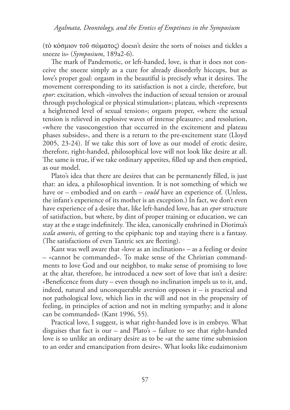(τὸ κόσμιον τοῦ σώματος) doesn't desire the sorts of noises and tickles a sneeze is» (*Symposium*, 189a2-6).

he mark of Pandemotic, or left-handed, love, is that it does not conceive the sneeze simply as a cure for already disorderly hiccups, but as love's proper goal: orgasm in the beautiful is precisely what it desires. The movement corresponding to its satisfaction is not a circle, therefore, but *epor*: excitation, which «involves the induction of sexual tension or arousal through psychological or physical stimulation»; plateau, which «represents a heightened level of sexual tension»; orgasm proper, «where the sexual tension is relieved in explosive waves of intense pleasure»; and resolution, «where the vasocongestion that occurred in the excitement and plateau phases subsides», and there is a return to the pre-excitement state (Lloyd 2005, 23-24). If we take this sort of love as our model of erotic desire, therefore, right-handed, philosophical love will not look like desire at all. The same is true, if we take ordinary appetites, filled up and then emptied, as our model.

Plato's idea that there are desires that can be permanently filled, is just that: an idea, a philosophical invention. It is not something of which we have or – embodied and on earth – *could* have an experience of. (Unless, the infant's experience of its mother is an exception.) In fact, we don't even have experience of a desire that, like left-handed love, has an *epor* structure of satisfaction, but where, by dint of proper training or education, we can stay at the *o* stage indefinitely. The idea, canonically enshrined in Diotima's *scala amoris*, of getting to the epiphanic top and staying there is a fantasy. (The satisfactions of even Tantric sex are fleeting).

Kant was well aware that «love as an inclination» – as a feeling or desire – «cannot be commanded». To make sense of the Christian commandments to love God and our neighbor, to make sense of promising to love at the altar, therefore, he introduced a new sort of love that isn't a desire: «Beneficence from duty – even though no inclination impels us to it, and, indeed, natural and unconquerable aversion opposes it – is practical and not pathological love, which lies in the will and not in the propensity of feeling, in principles of action and not in melting sympathy; and it alone can be commanded» (Kant 1996, 55).

Practical love, I suggest, is what right-handed love is in embryo. What disguises that fact is our – and Plato's – failure to see that right-handed love is so unlike an ordinary desire as to be «at the same time submission to an order and emancipation from desire». What looks like eudaimonism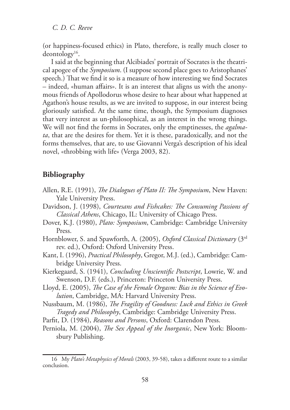(or happiness-focused ethics) in Plato, therefore, is really much closer to deontology<sup>16</sup> .

I said at the beginning that Alcibiades' portrait of Socrates is the theatrical apogee of the *Symposium*. (I suppose second place goes to Aristophanes' speech.) That we find it so is a measure of how interesting we find Socrates – indeed, «human afairs». It is an interest that aligns us with the anonymous friends of Apollodorus whose desire to hear about what happened at Agathon's house results, as we are invited to suppose, in our interest being gloriously satisied. At the same time, though, the Symposium diagnoses that very interest as un-philosophical, as an interest in the wrong things. We will not find the forms in Socrates, only the emptinesses, the *agalmata*, that are the desires for them. Yet it is these, paradoxically, and not the forms themselves, that are, to use Giovanni Verga's description of his ideal novel, «throbbing with life» (Verga 2003, 82).

## **Bibliography**

- Allen, R.E. (1991), *he Dialogues of Plato II: he Symposium*, New Haven: Yale University Press.
- Davidson, J. (1998), *Courtesans and Fishcakes: he Consuming Passions of Classical Athens*, Chicago, IL: University of Chicago Press.
- Dover, K.J. (1980), *Plato: Symposium*, Cambridge: Cambridge University Press.
- Hornblower, S. and Spawforth, A. (2005), *Oxford Classical Dictionary* (3rd rev. ed.), Oxford: Oxford University Press.
- Kant, I. (1996), *Practical Philosophy*, Gregor, M.J. (ed.), Cambridge: Cambridge University Press.
- Kierkegaard, S. (1941), *Concluding Unscientiic Postscript*, Lowrie, W. and Swenson, D.F. (eds.), Princeton: Princeton University Press.
- Lloyd, E. (2005), *he Case of the Female Orgasm: Bias in the Science of Evolution*, Cambridge, MA: Harvard University Press.
- Nussbaum, M. (1986), *he Fragility of Goodness: Luck and Ethics in Greek Tragedy and Philosophy*, Cambridge: Cambridge University Press.
- Parfit, D. (1984), *Reasons and Persons*, Oxford: Clarendon Press.
- Perniola, M. (2004), *he Sex Appeal of the Inorganic*, New York: Bloomsbury Publishing.

<sup>16</sup> My *Plato's Metaphysics of Morals* (2003, 39-58), takes a diferent route to a similar conclusion.